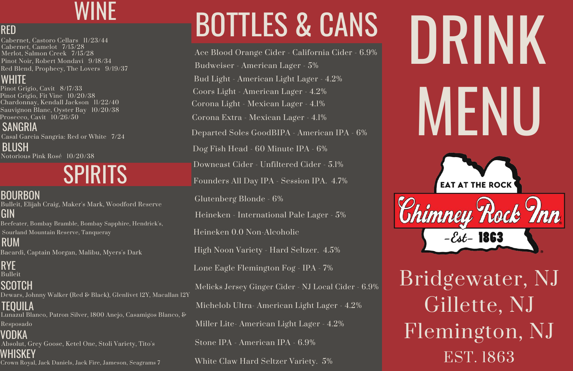

Pinot Grigio, Fit Vine 10/20/38 Chardonnay, Kendall Jackson 11/22/40 Pinot Grigio, Cavit 8/17/33 Sauvignon Blanc, Oyster Bay 10/20/38 Prosecco, Cavit 10/26/50

Cabernet, Castoro Cellars 11/23/44 Cabernet, Camelot 7/15/28 Merlot, Salmon Creek 7/15/28 Pinot Noir, Robert Mondavi 9/18/34 Red Blend, Prophecy, The Lovers 9/19/37

Casal Garcia Sangria: Red or White 7/24

# BOTTLES & CANS

# WINE

Michelob Ultra- American Light Lager - 4.2% Melicks Jersey Ginger Cider - NJ Local Cider - 6.9% Miller Lite- American Light Lager - 4.2% Stone IPA - American IPA - 6.9% White Claw Hard Seltzer Variety. 5%

Coors Light - American Lager - 4.2% Glutenberg Blonde - 6% Budweiser - American Lager - 5% Bud Light - American Light Lager - 4.2% Ace Blood Orange Cider - California Cider - 6.9% Downeast Cider - Unfiltered Cider - 5.1% Heineken - International Pale Lager - 5% Heineken 0.0 Non-Alcoholic Corona Light - Mexican Lager - 4.1% Departed Soles GoodBIPA - American IPA - 6% Founders All Day IPA - Session IPA. 4.7% Dog Fish Head - 60 Minute IPA - 6% Corona Extra - Mexican Lager - 4.1% Lone Eagle Flemington Fog - IPA - 7% High Noon Variety - Hard Seltzer. 4.5%

Notorious Pink Rosé 10/20/38 BLUSH

### RED

### WHITE

SANGRIA

# SPIRITS

**BOURBON** 

GIN Bulleit, Elijah Craig, Maker's Mark, Woodford Reserve Beefeater, Bombay Bramble, Bombay Sapphire, Hendrick's,

RUM Bacardi, Captain Morgan, Malibu, Myers's Dark

Sourland Mountain Reserve, Tanqueray

RYE Bulleit **SCOTCH** Dewars, Johnny Walker (Red & Black), Glenlivet 12Y, Macallan 12Y TEQUILA

Lunazul Blanco, Patron Silver, 1800 Anejo, Casamigos Blanco, & Resposado

VODKA Absolut, Grey Goose, Ketel One, Stoli Variety, Tito's WHISKEY Crown Royal, Jack Daniels, Jack Fire, Jameson, Seagrams 7 Bridgewater, NJ Gillette, NJ Flemington, NJ EST. 1863